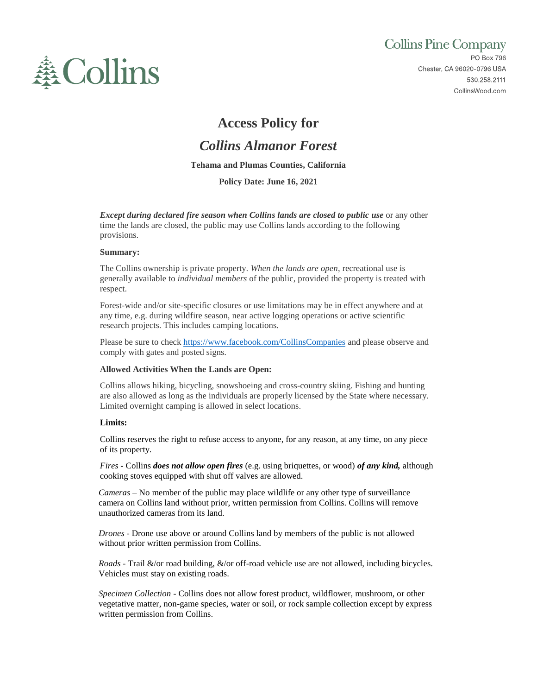

# **Collins Pine Company**

PO Box 796 Chester, CA 96020-0796 USA 530.258.2111 CollinsWood.com

## **Access Policy for**

## *Collins Almanor Forest*

### **Tehama and Plumas Counties, California**

**Policy Date: June 16, 2021**

*Except during declared fire season when Collins lands are closed to public use* **or any other** time the lands are closed, the public may use Collins lands according to the following provisions.

#### **Summary:**

The Collins ownership is private property. *When the lands are open*, recreational use is generally available to *individual members* of the public, provided the property is treated with respect.

Forest-wide and/or site-specific closures or use limitations may be in effect anywhere and at any time, e.g. during wildfire season, near active logging operations or active scientific research projects. This includes camping locations.

Please be sure to check<https://www.facebook.com/CollinsCompanies> and please observe and comply with gates and posted signs.

## **Allowed Activities When the Lands are Open:**

Collins allows hiking, bicycling, snowshoeing and cross-country skiing. Fishing and hunting are also allowed as long as the individuals are properly licensed by the State where necessary. Limited overnight camping is allowed in select locations.

## **Limits:**

Collins reserves the right to refuse access to anyone, for any reason, at any time, on any piece of its property.

*Fires -* Collins *does not allow open fires* (e.g. using briquettes, or wood) *of any kind,* although cooking stoves equipped with shut off valves are allowed.

*Cameras* – No member of the public may place wildlife or any other type of surveillance camera on Collins land without prior, written permission from Collins. Collins will remove unauthorized cameras from its land.

*Drones* - Drone use above or around Collins land by members of the public is not allowed without prior written permission from Collins.

*Roads -* Trail &/or road building, &/or off-road vehicle use are not allowed, including bicycles. Vehicles must stay on existing roads.

*Specimen Collection -* Collins does not allow forest product, wildflower, mushroom, or other vegetative matter, non-game species, water or soil, or rock sample collection except by express written permission from Collins.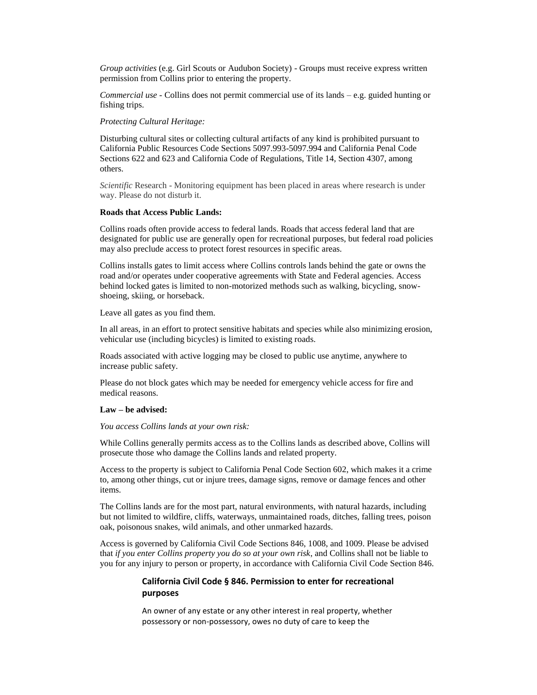*Group activities* (e.g. Girl Scouts or Audubon Society) - Groups must receive express written permission from Collins prior to entering the property.

*Commercial use -* Collins does not permit commercial use of its lands – e.g. guided hunting or fishing trips.

*Protecting Cultural Heritage:*

Disturbing cultural sites or collecting cultural artifacts of any kind is prohibited pursuant to California Public Resources Code Sections 5097.993-5097.994 and California Penal Code Sections 622 and 623 and California Code of Regulations, Title 14, Section 4307, among others.

*Scientific* Research - Monitoring equipment has been placed in areas where research is under way. Please do not disturb it.

#### **Roads that Access Public Lands:**

Collins roads often provide access to federal lands. Roads that access federal land that are designated for public use are generally open for recreational purposes, but federal road policies may also preclude access to protect forest resources in specific areas.

Collins installs gates to limit access where Collins controls lands behind the gate or owns the road and/or operates under cooperative agreements with State and Federal agencies. Access behind locked gates is limited to non-motorized methods such as walking, bicycling, snowshoeing, skiing, or horseback.

Leave all gates as you find them.

In all areas, in an effort to protect sensitive habitats and species while also minimizing erosion, vehicular use (including bicycles) is limited to existing roads.

Roads associated with active logging may be closed to public use anytime, anywhere to increase public safety.

Please do not block gates which may be needed for emergency vehicle access for fire and medical reasons.

#### **Law – be advised:**

*You access Collins lands at your own risk:*

While Collins generally permits access as to the Collins lands as described above, Collins will prosecute those who damage the Collins lands and related property.

Access to the property is subject to California Penal Code Section 602, which makes it a crime to, among other things, cut or injure trees, damage signs, remove or damage fences and other items.

The Collins lands are for the most part, natural environments, with natural hazards, including but not limited to wildfire, cliffs, waterways, unmaintained roads, ditches, falling trees, poison oak, poisonous snakes, wild animals, and other unmarked hazards.

Access is governed by California Civil Code Sections 846, 1008, and 1009. Please be advised that *if you enter Collins property you do so at your own risk*, and Collins shall not be liable to you for any injury to person or property, in accordance with California Civil Code Section 846.

## **California Civil Code § 846. Permission to enter for recreational purposes**

An owner of any estate or any other interest in real property, whether possessory or non-possessory, owes no duty of care to keep the